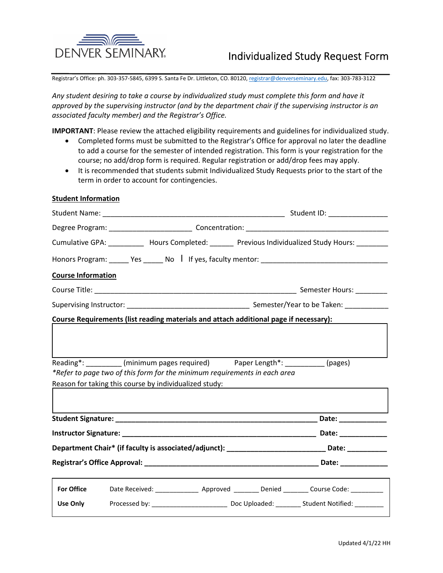

Registrar's Office: ph. 303-357-5845, 6399 S. Santa Fe Dr. Littleton, CO. 80120, registrar@denverseminary.edu, fax: 303-783-3122

Any student desiring to take a course by individualized study must complete this form and have it approved by the supervising instructor (and by the department chair if the supervising instructor is an associated faculty member) and the Registrar's Office.

IMPORTANT: Please review the attached eligibility requirements and guidelines for individualized study.

- Completed forms must be submitted to the Registrar's Office for approval no later the deadline to add a course for the semester of intended registration. This form is your registration for the course; no add/drop form is required. Regular registration or add/drop fees may apply.
- It is recommended that students submit Individualized Study Requests prior to the start of the term in order to account for contingencies.

## **Student Information**

| Cumulative GPA: ___________ Hours Completed: _______ Previous Individualized Study Hours: _________                                                                                                                                                                            |  |  |  |  |                                                                                                     |  |
|--------------------------------------------------------------------------------------------------------------------------------------------------------------------------------------------------------------------------------------------------------------------------------|--|--|--|--|-----------------------------------------------------------------------------------------------------|--|
|                                                                                                                                                                                                                                                                                |  |  |  |  |                                                                                                     |  |
| <b>Course Information</b>                                                                                                                                                                                                                                                      |  |  |  |  |                                                                                                     |  |
|                                                                                                                                                                                                                                                                                |  |  |  |  |                                                                                                     |  |
|                                                                                                                                                                                                                                                                                |  |  |  |  |                                                                                                     |  |
| Course Requirements (list reading materials and attach additional page if necessary):                                                                                                                                                                                          |  |  |  |  |                                                                                                     |  |
| Reading*: _________ (minimum pages required) Paper Length*: _________ (pages)<br>*Refer to page two of this form for the minimum requirements in each area<br>Reason for taking this course by individualized study:<br>Reason for taking this course by individualized study: |  |  |  |  |                                                                                                     |  |
|                                                                                                                                                                                                                                                                                |  |  |  |  |                                                                                                     |  |
|                                                                                                                                                                                                                                                                                |  |  |  |  |                                                                                                     |  |
|                                                                                                                                                                                                                                                                                |  |  |  |  | Department Chair* (if faculty is associated/adjunct): ____________________________Date: ___________ |  |
|                                                                                                                                                                                                                                                                                |  |  |  |  |                                                                                                     |  |
| <b>For Office</b>                                                                                                                                                                                                                                                              |  |  |  |  | Date Received: _______________ Approved ________ Denied ________ Course Code: _________             |  |
| <b>Use Only</b>                                                                                                                                                                                                                                                                |  |  |  |  |                                                                                                     |  |